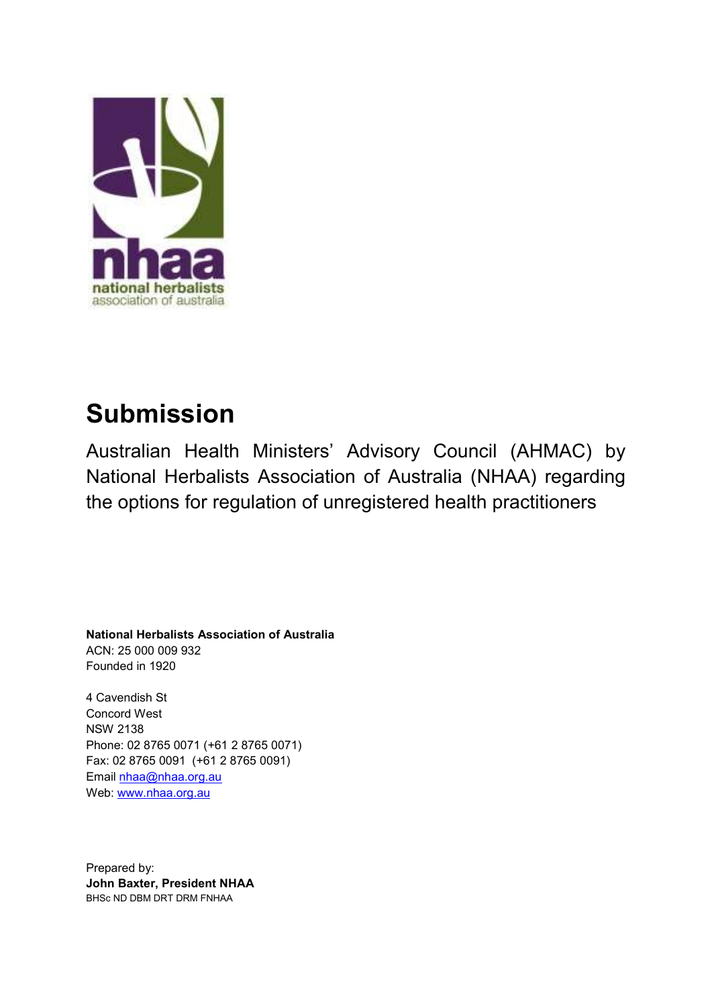

# **Submission**

Australian Health Ministers' Advisory Council (AHMAC) by National Herbalists Association of Australia (NHAA) regarding the options for regulation of unregistered health practitioners

**National Herbalists Association of Australia** ACN: 25 000 009 932 Founded in 1920

4 Cavendish St **Concord West NSW 2138** Phone: 02 8765 0071 (+61 2 8765 0071) Fax: 02 8765 0091 (+61 2 8765 0091) Email nhaa@nhaa.org.au Web: www.nhaa.org.au

Prepared by: John Baxter, President NHAA BHSC ND DBM DRT DRM FNHAA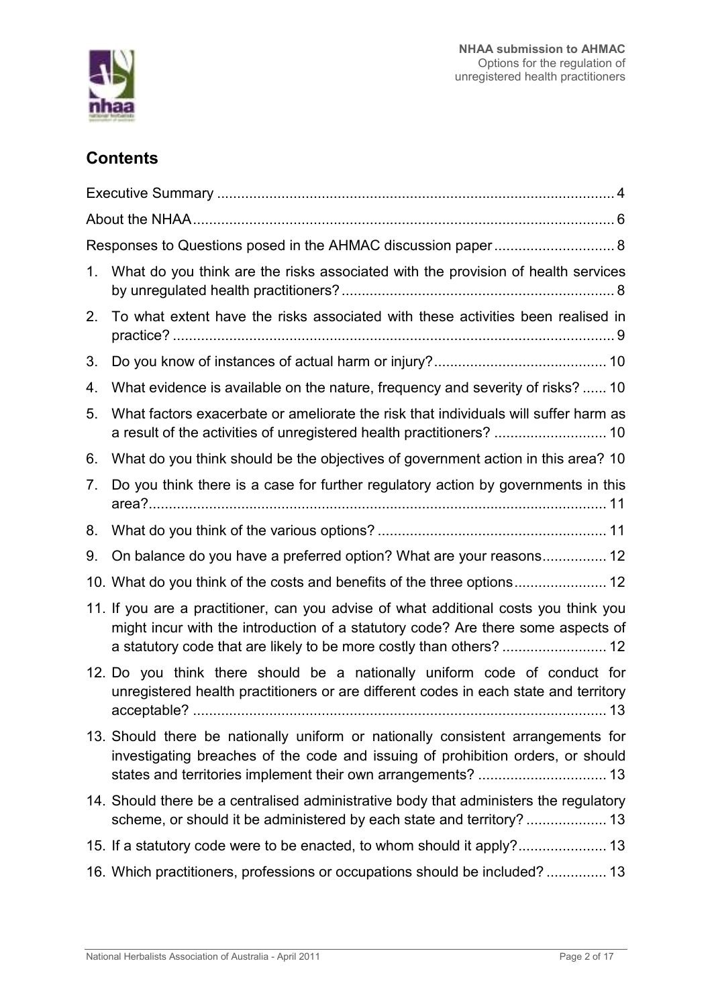

# **Contents**

| Responses to Questions posed in the AHMAC discussion paper 8 |                                                                                                                                                                                        |
|--------------------------------------------------------------|----------------------------------------------------------------------------------------------------------------------------------------------------------------------------------------|
| 1.                                                           | What do you think are the risks associated with the provision of health services                                                                                                       |
| 2.                                                           | To what extent have the risks associated with these activities been realised in                                                                                                        |
| 3.                                                           |                                                                                                                                                                                        |
| 4.                                                           | What evidence is available on the nature, frequency and severity of risks?  10                                                                                                         |
| 5.                                                           | What factors exacerbate or ameliorate the risk that individuals will suffer harm as<br>a result of the activities of unregistered health practitioners?  10                            |
| 6.                                                           | What do you think should be the objectives of government action in this area? 10                                                                                                       |
| 7.                                                           | Do you think there is a case for further regulatory action by governments in this                                                                                                      |
| 8.                                                           |                                                                                                                                                                                        |
| 9.                                                           | On balance do you have a preferred option? What are your reasons 12                                                                                                                    |
|                                                              |                                                                                                                                                                                        |
|                                                              | 11. If you are a practitioner, can you advise of what additional costs you think you<br>might incur with the introduction of a statutory code? Are there some aspects of               |
|                                                              | 12. Do you think there should be a nationally uniform code of conduct for<br>unregistered health practitioners or are different codes in each state and territory<br>acceptable?<br>13 |
|                                                              | 13. Should there be nationally uniform or nationally consistent arrangements for<br>investigating breaches of the code and issuing of prohibition orders, or should                    |
|                                                              | 14. Should there be a centralised administrative body that administers the regulatory<br>scheme, or should it be administered by each state and territory?  13                         |
|                                                              |                                                                                                                                                                                        |
|                                                              | 16. Which practitioners, professions or occupations should be included? 13                                                                                                             |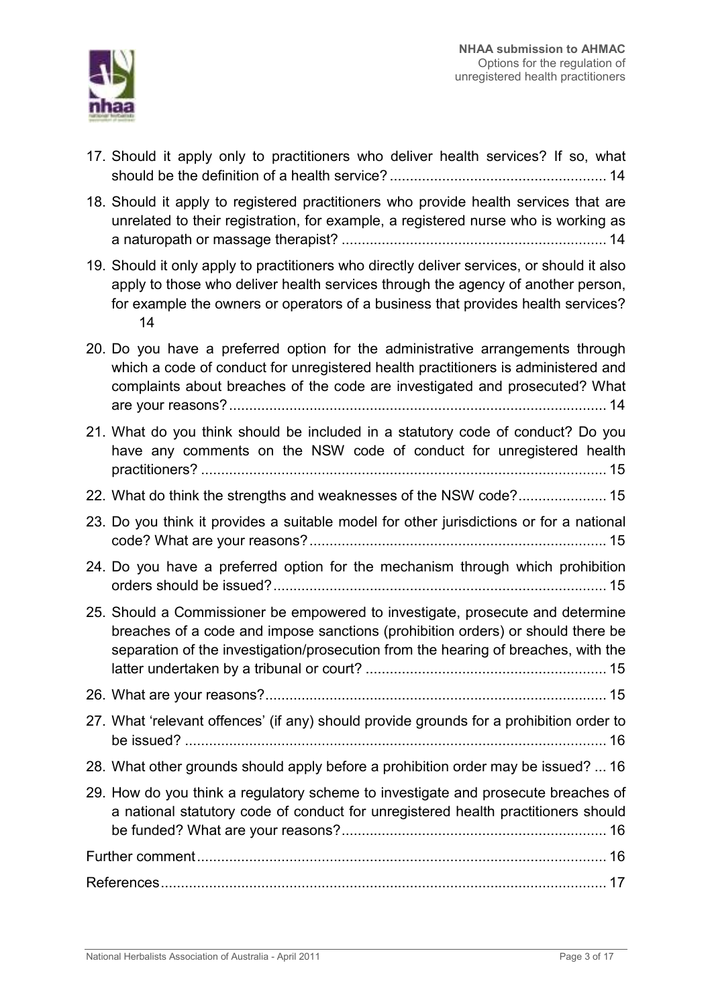

- 17. Should it apply only to practitioners who deliver health services? If so, what
- 18. Should it apply to registered practitioners who provide health services that are unrelated to their registration, for example, a registered nurse who is working as
- 19. Should it only apply to practitioners who directly deliver services, or should it also apply to those who deliver health services through the agency of another person, for example the owners or operators of a business that provides health services?  $14$
- 20. Do you have a preferred option for the administrative arrangements through which a code of conduct for unregistered health practitioners is administered and complaints about breaches of the code are investigated and prosecuted? What

| 21. What do you think should be included in a statutory code of conduct? Do you<br>have any comments on the NSW code of conduct for unregistered health                                                                                                 |  |
|---------------------------------------------------------------------------------------------------------------------------------------------------------------------------------------------------------------------------------------------------------|--|
| 22. What do think the strengths and weaknesses of the NSW code? 15                                                                                                                                                                                      |  |
| 23. Do you think it provides a suitable model for other jurisdictions or for a national                                                                                                                                                                 |  |
| 24. Do you have a preferred option for the mechanism through which prohibition                                                                                                                                                                          |  |
| 25. Should a Commissioner be empowered to investigate, prosecute and determine<br>breaches of a code and impose sanctions (prohibition orders) or should there be<br>separation of the investigation/prosecution from the hearing of breaches, with the |  |
|                                                                                                                                                                                                                                                         |  |
| 27. What 'relevant offences' (if any) should provide grounds for a prohibition order to                                                                                                                                                                 |  |
| 28. What other grounds should apply before a prohibition order may be issued?  16                                                                                                                                                                       |  |
| 29. How do you think a regulatory scheme to investigate and prosecute breaches of<br>a national statutory code of conduct for unregistered health practitioners should                                                                                  |  |
|                                                                                                                                                                                                                                                         |  |
|                                                                                                                                                                                                                                                         |  |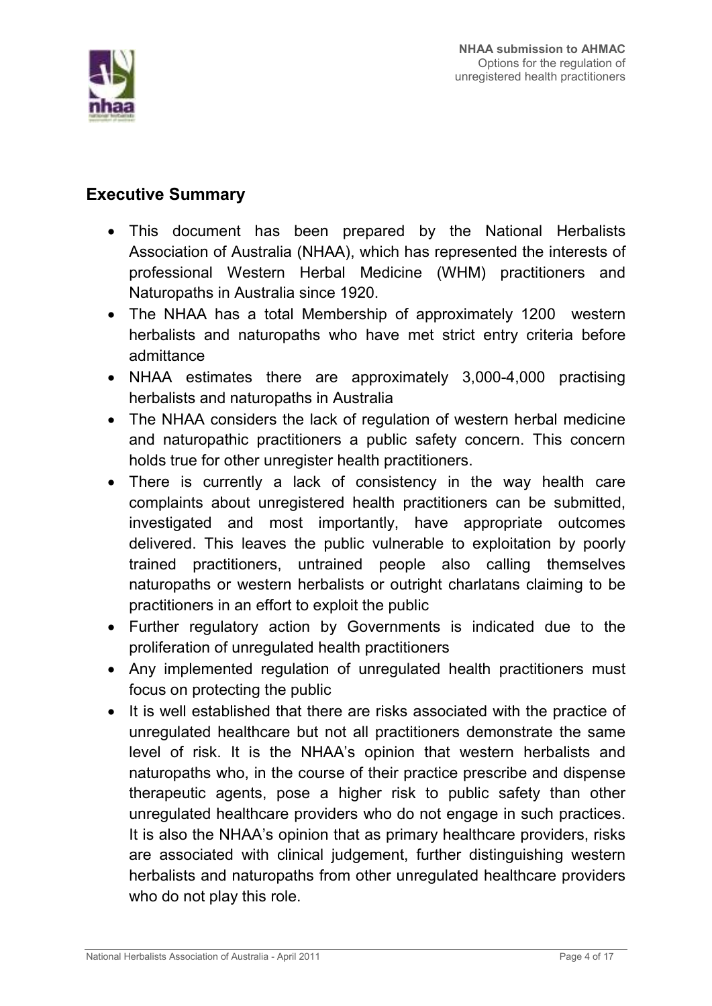

# **Executive Summary**

- This document has been prepared by the National Herbalists Association of Australia (NHAA), which has represented the interests of professional Western Herbal Medicine (WHM) practitioners and Naturopaths in Australia since 1920.
- The NHAA has a total Membership of approximately 1200 western herbalists and naturopaths who have met strict entry criteria before admittance
- NHAA estimates there are approximately 3,000-4,000 practising herbalists and naturopaths in Australia
- The NHAA considers the lack of regulation of western herbal medicine and naturopathic practitioners a public safety concern. This concern holds true for other unregister health practitioners.
- There is currently a lack of consistency in the way health care complaints about unregistered health practitioners can be submitted. investigated and most importantly, have appropriate outcomes delivered. This leaves the public vulnerable to exploitation by poorly trained practitioners, untrained people also calling themselves naturopaths or western herbalists or outright chariatans claiming to be practitioners in an effort to exploit the public
- Further regulatory action by Governments is indicated due to the proliferation of unregulated health practitioners
- Any implemented regulation of unregulated health practitioners must focus on protecting the public
- It is well established that there are risks associated with the practice of unregulated healthcare but not all practitioners demonstrate the same level of risk. It is the NHAA's opinion that western herbalists and naturopaths who, in the course of their practice prescribe and dispense therapeutic agents, pose a higher risk to public safety than other unregulated healthcare providers who do not engage in such practices. It is also the NHAA's opinion that as primary healthcare providers, risks are associated with clinical judgement, further distinguishing western herbalists and naturopaths from other unregulated healthcare providers who do not play this role.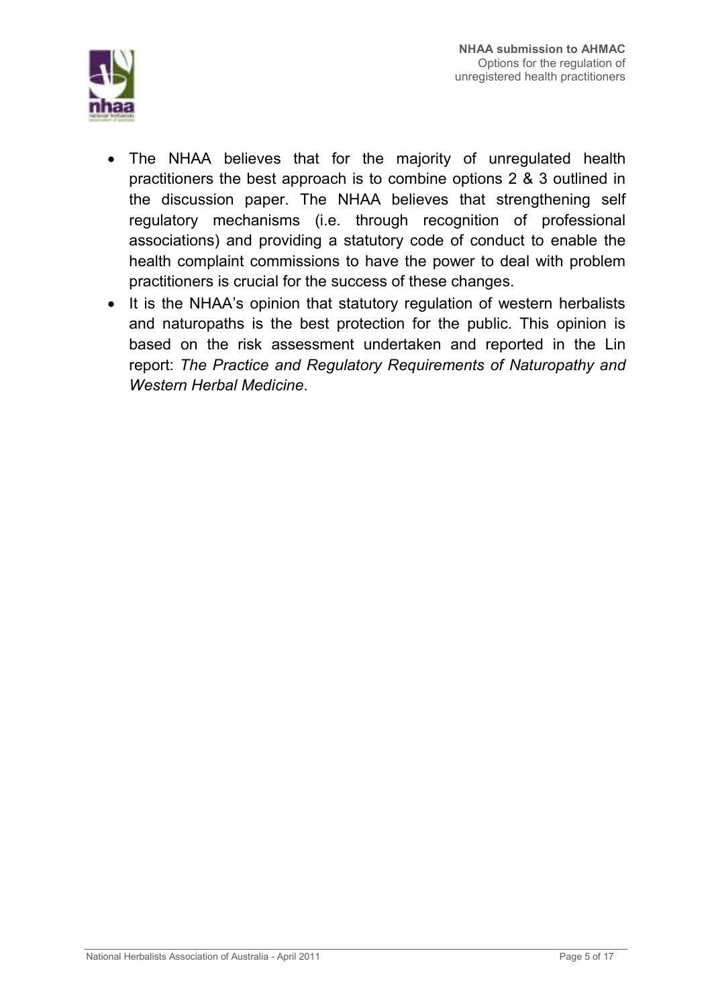

- The NHAA believes that for the majority of unregulated health practitioners the best approach is to combine options 2 & 3 outlined in the discussion paper. The NHAA believes that strengthening self regulatory mechanisms (i.e. through recognition of professional associations) and providing a statutory code of conduct to enable the health complaint commissions to have the power to deal with problem practitioners is crucial for the success of these changes.
- It is the NHAA's opinion that statutory regulation of western herbalists and naturopaths is the best protection for the public. This opinion is based on the risk assessment undertaken and reported in the Lin report: The Practice and Regulatory Requirements of Naturopathy and Western Herbal Medicine.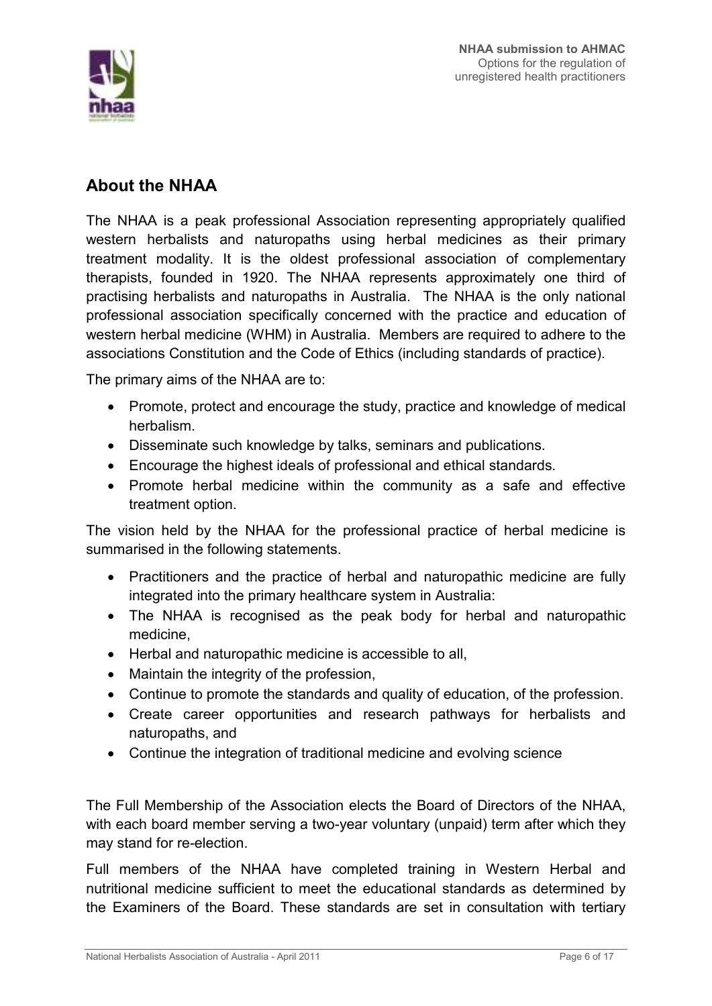

# **About the NHAA**

The NHAA is a peak professional Association representing appropriately qualified western herbalists and naturopaths using herbal medicines as their primary treatment modality. It is the oldest professional association of complementary therapists, founded in 1920. The NHAA represents approximately one third of practising herbalists and naturopaths in Australia. The NHAA is the only national professional association specifically concerned with the practice and education of western herbal medicine (WHM) in Australia. Members are required to adhere to the associations Constitution and the Code of Ethics (including standards of practice).

The primary aims of the NHAA are to:

- Promote, protect and encourage the study, practice and knowledge of medical herbalism.
- Disseminate such knowledge by talks, seminars and publications.
- Encourage the highest ideals of professional and ethical standards.
- Promote herbal medicine within the community as a safe and effective treatment option.

The vision held by the NHAA for the professional practice of herbal medicine is summarised in the following statements.

- Practitioners and the practice of herbal and naturopathic medicine are fully integrated into the primary healthcare system in Australia:
- The NHAA is recognised as the peak body for herbal and naturopathic medicine.
- Herbal and naturopathic medicine is accessible to all.
- Maintain the integrity of the profession,
- Continue to promote the standards and quality of education, of the profession.
- Create career opportunities and research pathways for herbalists and naturopaths, and
- Continue the integration of traditional medicine and evolving science

The Full Membership of the Association elects the Board of Directors of the NHAA, with each board member serving a two-year voluntary (unpaid) term after which they may stand for re-election.

Full members of the NHAA have completed training in Western Herbal and nutritional medicine sufficient to meet the educational standards as determined by the Examiners of the Board. These standards are set in consultation with tertiary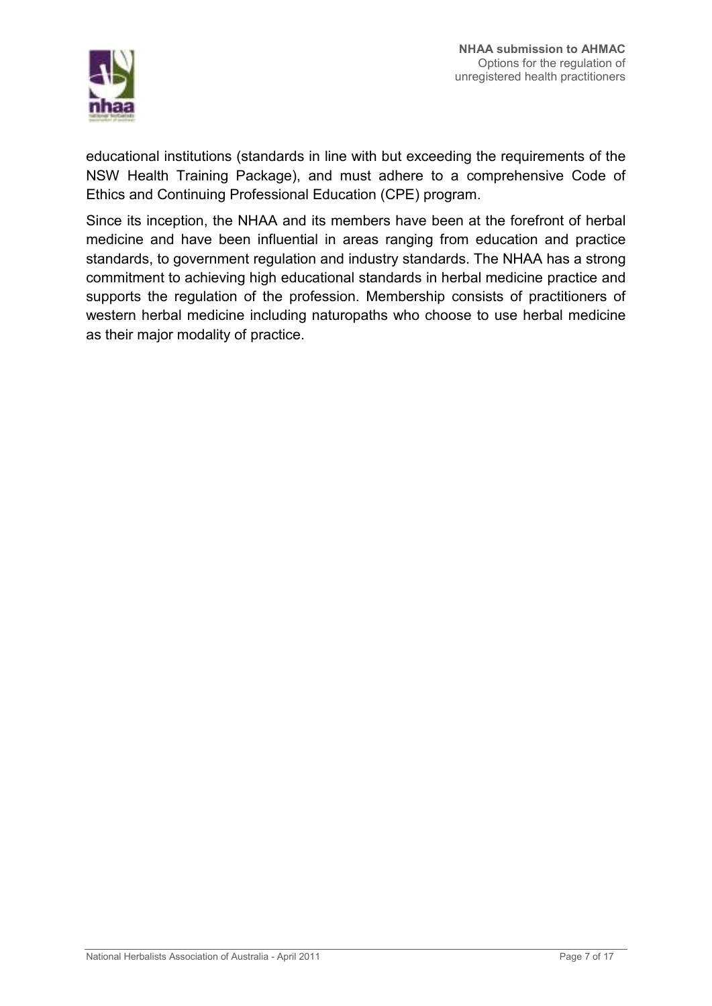

educational institutions (standards in line with but exceeding the requirements of the NSW Health Training Package), and must adhere to a comprehensive Code of Ethics and Continuing Professional Education (CPE) program.

Since its inception, the NHAA and its members have been at the forefront of herbal medicine and have been influential in areas ranging from education and practice standards, to government regulation and industry standards. The NHAA has a strong commitment to achieving high educational standards in herbal medicine practice and supports the regulation of the profession. Membership consists of practitioners of western herbal medicine including naturopaths who choose to use herbal medicine as their major modality of practice.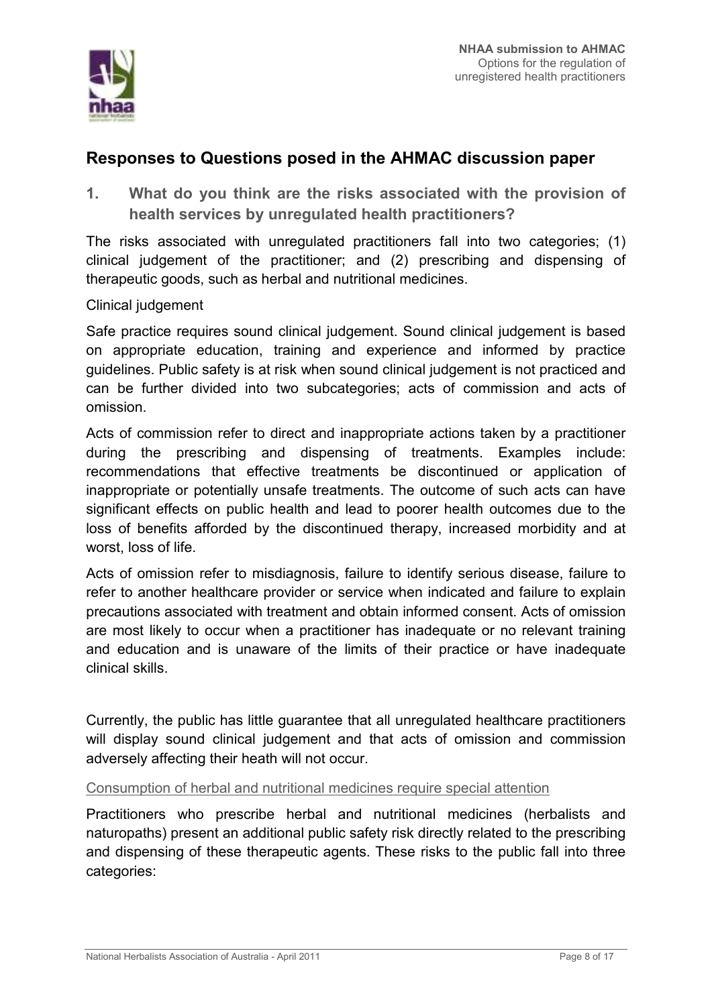

### Responses to Questions posed in the AHMAC discussion paper

 $1<sub>1</sub>$ What do you think are the risks associated with the provision of health services by unregulated health practitioners?

The risks associated with unregulated practitioners fall into two categories; (1) clinical judgement of the practitioner; and (2) prescribing and dispensing of therapeutic goods, such as herbal and nutritional medicines.

Clinical judgement

Safe practice requires sound clinical judgement. Sound clinical judgement is based on appropriate education, training and experience and informed by practice guidelines. Public safety is at risk when sound clinical judgement is not practiced and can be further divided into two subcategories; acts of commission and acts of omission

Acts of commission refer to direct and inappropriate actions taken by a practitioner during the prescribing and dispensing of treatments. Examples include: recommendations that effective treatments be discontinued or application of inappropriate or potentially unsafe treatments. The outcome of such acts can have significant effects on public health and lead to poorer health outcomes due to the loss of benefits afforded by the discontinued therapy, increased morbidity and at worst, loss of life.

Acts of omission refer to misdiagnosis, failure to identify serious disease, failure to refer to another healthcare provider or service when indicated and failure to explain precautions associated with treatment and obtain informed consent. Acts of omission are most likely to occur when a practitioner has inadequate or no relevant training and education and is unaware of the limits of their practice or have inadequate clinical skills

Currently, the public has little quarantee that all unregulated healthcare practitioners will display sound clinical judgement and that acts of omission and commission adversely affecting their heath will not occur.

#### Consumption of herbal and nutritional medicines require special attention

Practitioners who prescribe herbal and nutritional medicines (herbalists and naturopaths) present an additional public safety risk directly related to the prescribing and dispensing of these therapeutic agents. These risks to the public fall into three categories: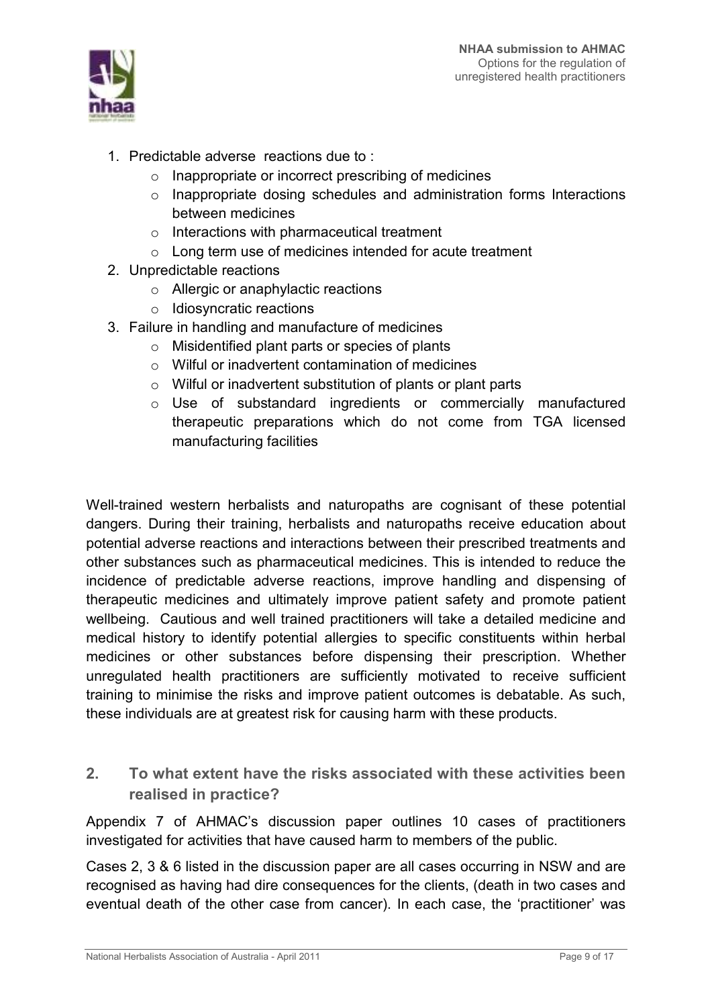

- 1. Predictable adverse reactions due to:
	- $\circ$  Inappropriate or incorrect prescribing of medicines
	- o Inappropriate dosing schedules and administration forms Interactions between medicines
	- $\circ$  Interactions with pharmaceutical treatment
	- o Long term use of medicines intended for acute treatment
- 2. Unpredictable reactions
	- $\circ$  Allergic or anaphylactic reactions
	- o Idiosyncratic reactions
- 3. Failure in handling and manufacture of medicines
	- $\circ$  Misidentified plant parts or species of plants
	- o Wilful or inadvertent contamination of medicines
	- o Wilful or inadvertent substitution of plants or plant parts
	- o Use of substandard ingredients or commercially manufactured therapeutic preparations which do not come from TGA licensed manufacturing facilities

Well-trained western herbalists and naturopaths are cognisant of these potential dangers. During their training, herbalists and naturopaths receive education about potential adverse reactions and interactions between their prescribed treatments and other substances such as pharmaceutical medicines. This is intended to reduce the incidence of predictable adverse reactions, improve handling and dispensing of therapeutic medicines and ultimately improve patient safety and promote patient wellbeing. Cautious and well trained practitioners will take a detailed medicine and medical history to identify potential allergies to specific constituents within herbal medicines or other substances before dispensing their prescription. Whether unregulated health practitioners are sufficiently motivated to receive sufficient training to minimise the risks and improve patient outcomes is debatable. As such, these individuals are at greatest risk for causing harm with these products.

 $2.$ To what extent have the risks associated with these activities been realised in practice?

Appendix 7 of AHMAC's discussion paper outlines 10 cases of practitioners investigated for activities that have caused harm to members of the public.

Cases 2, 3 & 6 listed in the discussion paper are all cases occurring in NSW and are recognised as having had dire consequences for the clients, (death in two cases and eventual death of the other case from cancer). In each case, the 'practitioner' was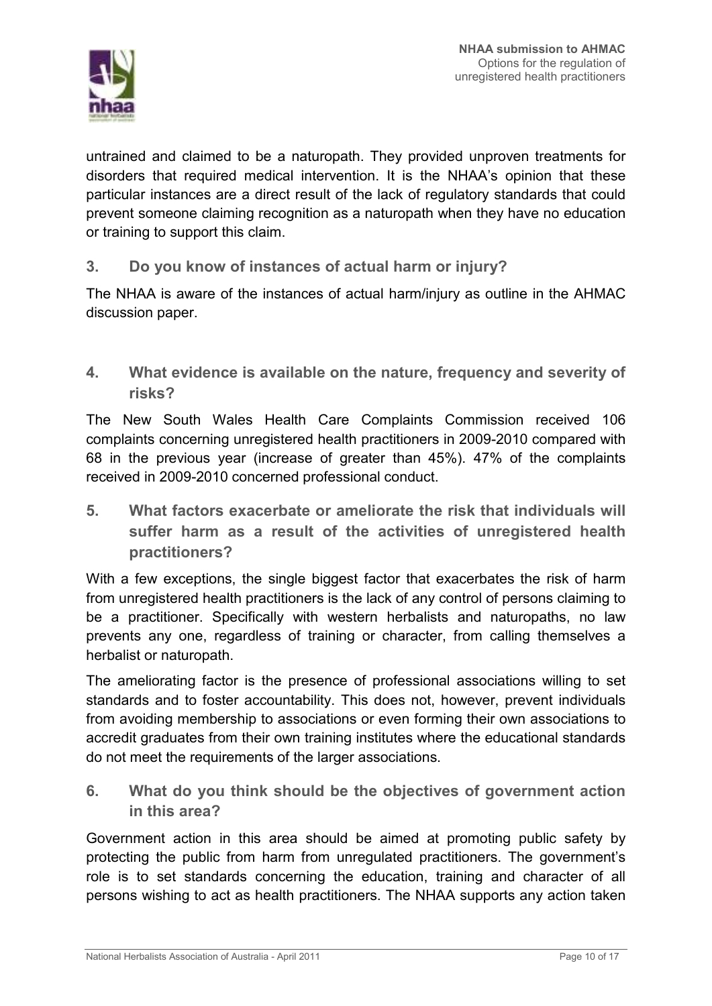

untrained and claimed to be a naturopath. They provided unproven treatments for disorders that required medical intervention. It is the NHAA's opinion that these particular instances are a direct result of the lack of regulatory standards that could prevent someone claiming recognition as a naturopath when they have no education or training to support this claim.

 $3<sub>1</sub>$ Do you know of instances of actual harm or injury?

The NHAA is aware of the instances of actual harm/injury as outline in the AHMAC discussion paper.

 $4<sub>1</sub>$ What evidence is available on the nature, frequency and severity of risks?

The New South Wales Health Care Complaints Commission received 106 complaints concerning unregistered health practitioners in 2009-2010 compared with 68 in the previous year (increase of greater than 45%). 47% of the complaints received in 2009-2010 concerned professional conduct.

5. What factors exacerbate or ameliorate the risk that individuals will suffer harm as a result of the activities of unregistered health practitioners?

With a few exceptions, the single biggest factor that exacerbates the risk of harm from unregistered health practitioners is the lack of any control of persons claiming to be a practitioner. Specifically with western herbalists and naturopaths, no law prevents any one, regardless of training or character, from calling themselves a herbalist or naturopath.

The ameliorating factor is the presence of professional associations willing to set standards and to foster accountability. This does not, however, prevent individuals from avoiding membership to associations or even forming their own associations to accredit graduates from their own training institutes where the educational standards do not meet the requirements of the larger associations.

6. What do you think should be the objectives of government action in this area?

Government action in this area should be aimed at promoting public safety by protecting the public from harm from unregulated practitioners. The government's role is to set standards concerning the education, training and character of all persons wishing to act as health practitioners. The NHAA supports any action taken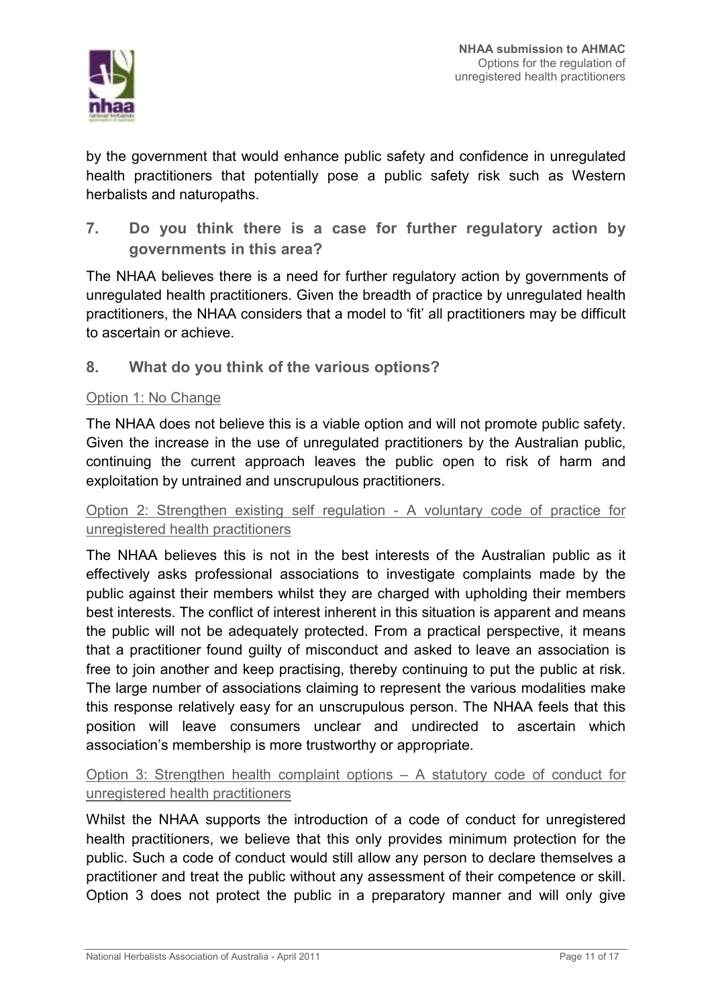

by the government that would enhance public safety and confidence in unregulated health practitioners that potentially pose a public safety risk such as Western herbalists and naturopaths.

 $\overline{7}$ . Do you think there is a case for further regulatory action by governments in this area?

The NHAA believes there is a need for further regulatory action by governments of unregulated health practitioners. Given the breadth of practice by unregulated health practitioners, the NHAA considers that a model to 'fit' all practitioners may be difficult to ascertain or achieve.

8. What do you think of the various options?

#### Option 1: No Change

The NHAA does not believe this is a viable option and will not promote public safety. Given the increase in the use of unregulated practitioners by the Australian public, continuing the current approach leaves the public open to risk of harm and exploitation by untrained and unscrupulous practitioners.

#### Option 2: Strengthen existing self regulation - A voluntary code of practice for unregistered health practitioners

The NHAA believes this is not in the best interests of the Australian public as it effectively asks professional associations to investigate complaints made by the public against their members whilst they are charged with upholding their members best interests. The conflict of interest inherent in this situation is apparent and means the public will not be adequately protected. From a practical perspective, it means that a practitioner found guilty of misconduct and asked to leave an association is free to join another and keep practising, thereby continuing to put the public at risk. The large number of associations claiming to represent the various modalities make this response relatively easy for an unscrupulous person. The NHAA feels that this position will leave consumers unclear and undirected to ascertain which association's membership is more trustworthy or appropriate.

### Option 3: Strengthen health complaint options – A statutory code of conduct for unregistered health practitioners

Whilst the NHAA supports the introduction of a code of conduct for unregistered health practitioners, we believe that this only provides minimum protection for the public. Such a code of conduct would still allow any person to declare themselves a practitioner and treat the public without any assessment of their competence or skill. Option 3 does not protect the public in a preparatory manner and will only give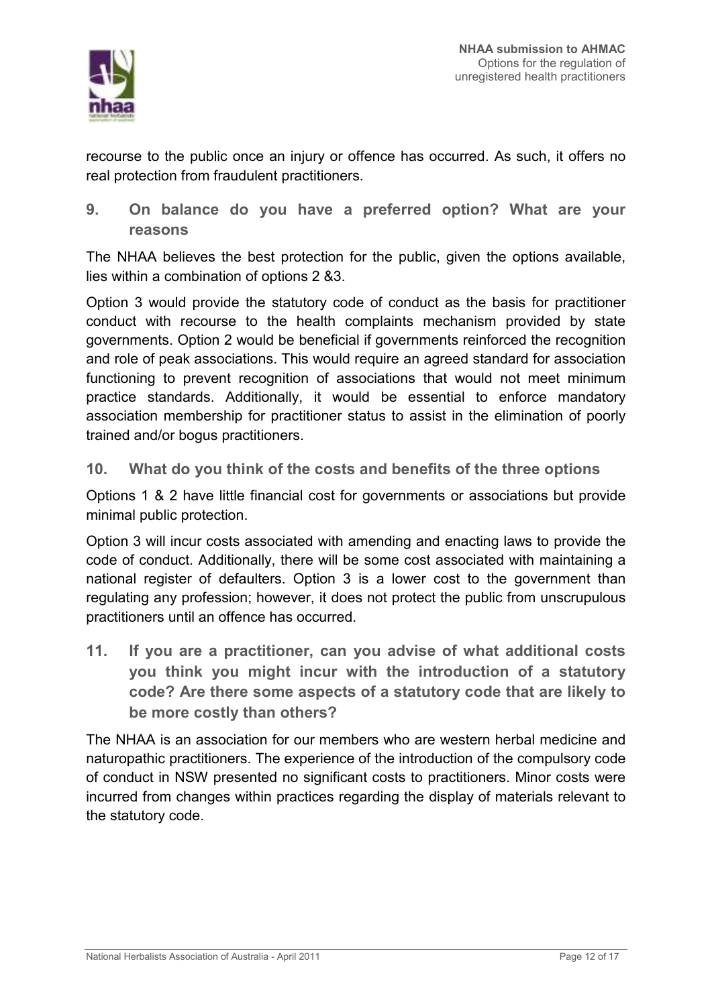

recourse to the public once an injury or offence has occurred. As such, it offers no real protection from fraudulent practitioners.

On balance do you have a preferred option? What are your  $9<sub>1</sub>$ reasons

The NHAA believes the best protection for the public, given the options available, lies within a combination of options 2 &3.

Option 3 would provide the statutory code of conduct as the basis for practitioner conduct with recourse to the health complaints mechanism provided by state governments. Option 2 would be beneficial if governments reinforced the recognition and role of peak associations. This would require an agreed standard for association functioning to prevent recognition of associations that would not meet minimum practice standards. Additionally, it would be essential to enforce mandatory association membership for practitioner status to assist in the elimination of poorly trained and/or bogus practitioners.

What do you think of the costs and benefits of the three options  $10<sub>1</sub>$ 

Options 1 & 2 have little financial cost for governments or associations but provide minimal public protection.

Option 3 will incur costs associated with amending and enacting laws to provide the code of conduct. Additionally, there will be some cost associated with maintaining a national register of defaulters. Option 3 is a lower cost to the government than regulating any profession; however, it does not protect the public from unscrupulous practitioners until an offence has occurred.

 $11.$ If you are a practitioner, can you advise of what additional costs you think you might incur with the introduction of a statutory code? Are there some aspects of a statutory code that are likely to be more costly than others?

The NHAA is an association for our members who are western herbal medicine and naturopathic practitioners. The experience of the introduction of the compulsory code of conduct in NSW presented no significant costs to practitioners. Minor costs were incurred from changes within practices regarding the display of materials relevant to the statutory code.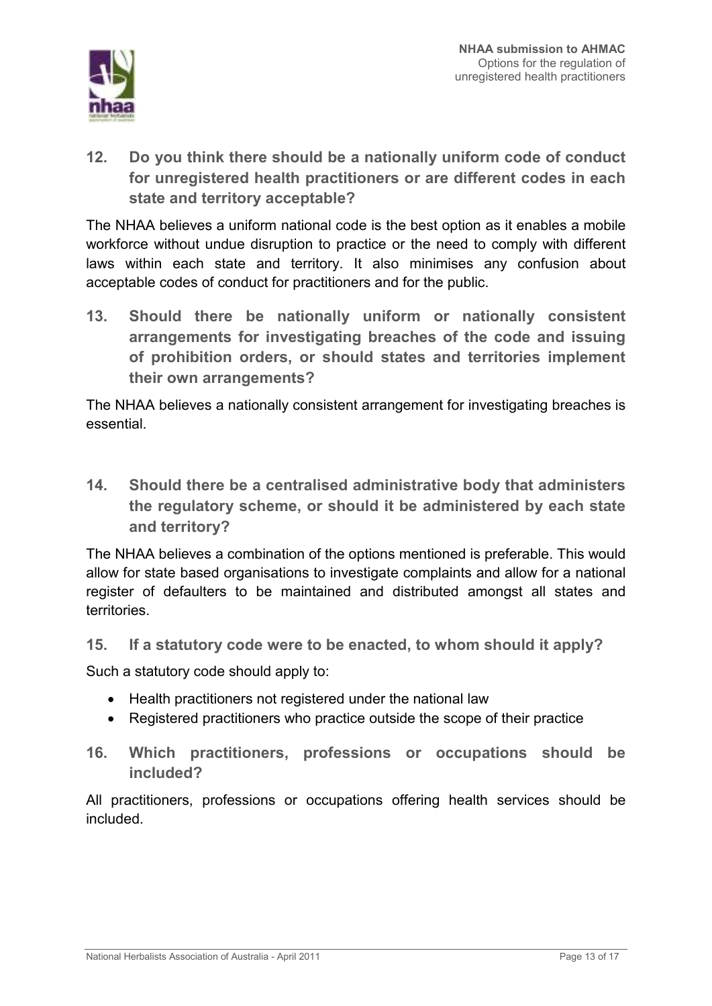

Do you think there should be a nationally uniform code of conduct  $12<sub>1</sub>$ for unregistered health practitioners or are different codes in each state and territory acceptable?

The NHAA believes a uniform national code is the best option as it enables a mobile workforce without undue disruption to practice or the need to comply with different laws within each state and territory. It also minimises any confusion about acceptable codes of conduct for practitioners and for the public.

 $13.$ Should there be nationally uniform or nationally consistent arrangements for investigating breaches of the code and issuing of prohibition orders, or should states and territories implement their own arrangements?

The NHAA believes a nationally consistent arrangement for investigating breaches is essential.

 $14.$ Should there be a centralised administrative body that administers the regulatory scheme, or should it be administered by each state and territory?

The NHAA believes a combination of the options mentioned is preferable. This would allow for state based organisations to investigate complaints and allow for a national register of defaulters to be maintained and distributed amongst all states and territories.

 $15<sub>1</sub>$ If a statutory code were to be enacted, to whom should it apply?

Such a statutory code should apply to:

- Health practitioners not registered under the national law
- Registered practitioners who practice outside the scope of their practice
- $16.$ Which practitioners, professions or occupations should be included?

All practitioners, professions or occupations offering health services should be hebuloni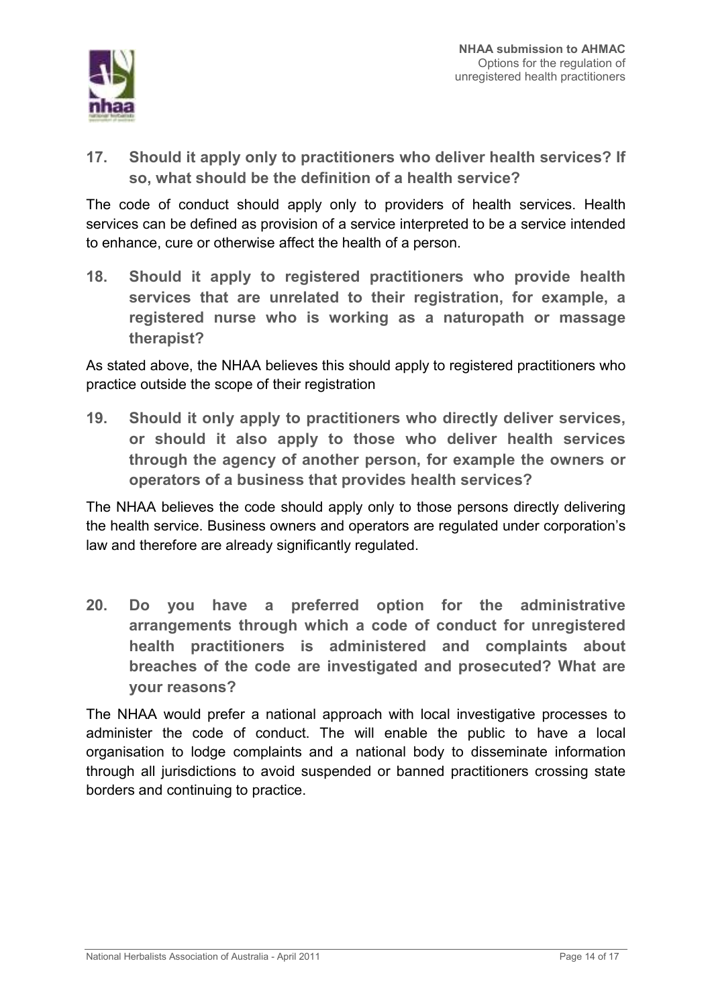

 $17<sub>1</sub>$ Should it apply only to practitioners who deliver health services? If so, what should be the definition of a health service?

The code of conduct should apply only to providers of health services. Health services can be defined as provision of a service interpreted to be a service intended to enhance, cure or otherwise affect the health of a person.

 $18.$ Should it apply to registered practitioners who provide health services that are unrelated to their registration, for example, a registered nurse who is working as a naturopath or massage therapist?

As stated above, the NHAA believes this should apply to registered practitioners who practice outside the scope of their registration

Should it only apply to practitioners who directly deliver services,  $19.$ or should it also apply to those who deliver health services through the agency of another person, for example the owners or operators of a business that provides health services?

The NHAA believes the code should apply only to those persons directly delivering the health service. Business owners and operators are regulated under corporation's law and therefore are already significantly regulated.

 $20<sub>1</sub>$ Do you have a preferred option for the administrative arrangements through which a code of conduct for unregistered health practitioners is administered and complaints about breaches of the code are investigated and prosecuted? What are vour reasons?

The NHAA would prefer a national approach with local investigative processes to administer the code of conduct. The will enable the public to have a local organisation to lodge complaints and a national body to disseminate information through all jurisdictions to avoid suspended or banned practitioners crossing state borders and continuing to practice.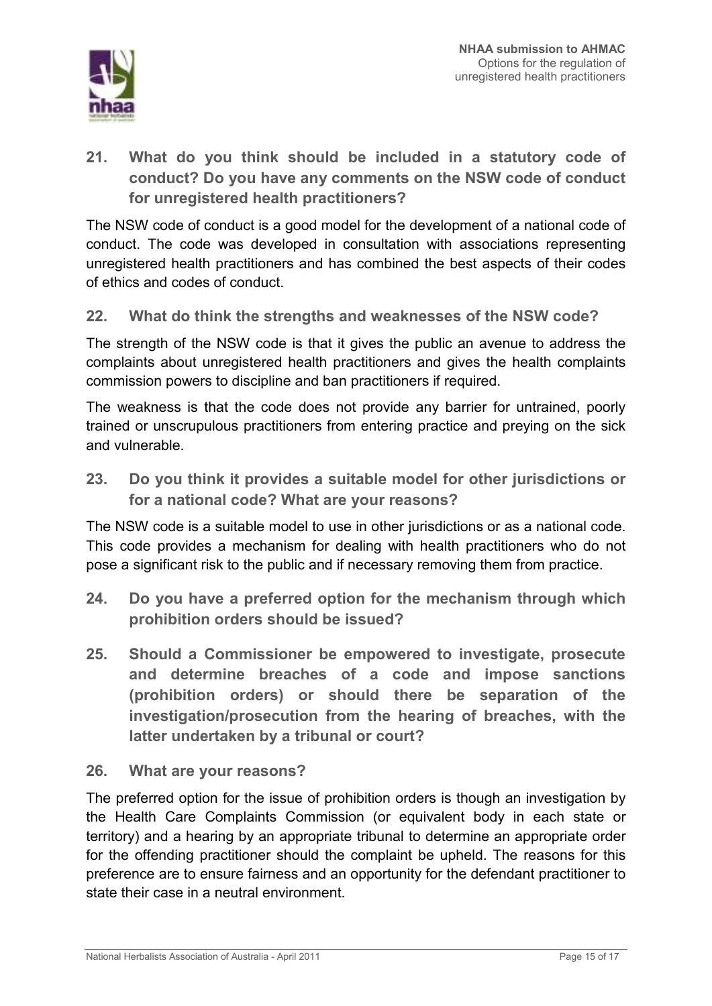

 $21<sub>1</sub>$ What do you think should be included in a statutory code of conduct? Do you have any comments on the NSW code of conduct for unregistered health practitioners?

The NSW code of conduct is a good model for the development of a national code of conduct. The code was developed in consultation with associations representing unregistered health practitioners and has combined the best aspects of their codes of ethics and codes of conduct.

#### $22.$ What do think the strengths and weaknesses of the NSW code?

The strength of the NSW code is that it gives the public an avenue to address the complaints about unregistered health practitioners and gives the health complaints commission powers to discipline and ban practitioners if required.

The weakness is that the code does not provide any barrier for untrained, poorly trained or unscrupulous practitioners from entering practice and preving on the sick and vulnerable.

 $23<sub>1</sub>$ Do you think it provides a suitable model for other jurisdictions or for a national code? What are your reasons?

The NSW code is a suitable model to use in other jurisdictions or as a national code. This code provides a mechanism for dealing with health practitioners who do not pose a significant risk to the public and if necessary removing them from practice.

- $24$ Do you have a preferred option for the mechanism through which prohibition orders should be issued?
- $25.$ Should a Commissioner be empowered to investigate, prosecute and determine breaches of a code and impose sanctions (prohibition orders) or should there be separation of the investigation/prosecution from the hearing of breaches, with the latter undertaken by a tribunal or court?

#### 26. What are your reasons?

The preferred option for the issue of prohibition orders is though an investigation by the Health Care Complaints Commission (or equivalent body in each state or territory) and a hearing by an appropriate tribunal to determine an appropriate order for the offending practitioner should the complaint be upheld. The reasons for this preference are to ensure fairness and an opportunity for the defendant practitioner to state their case in a neutral environment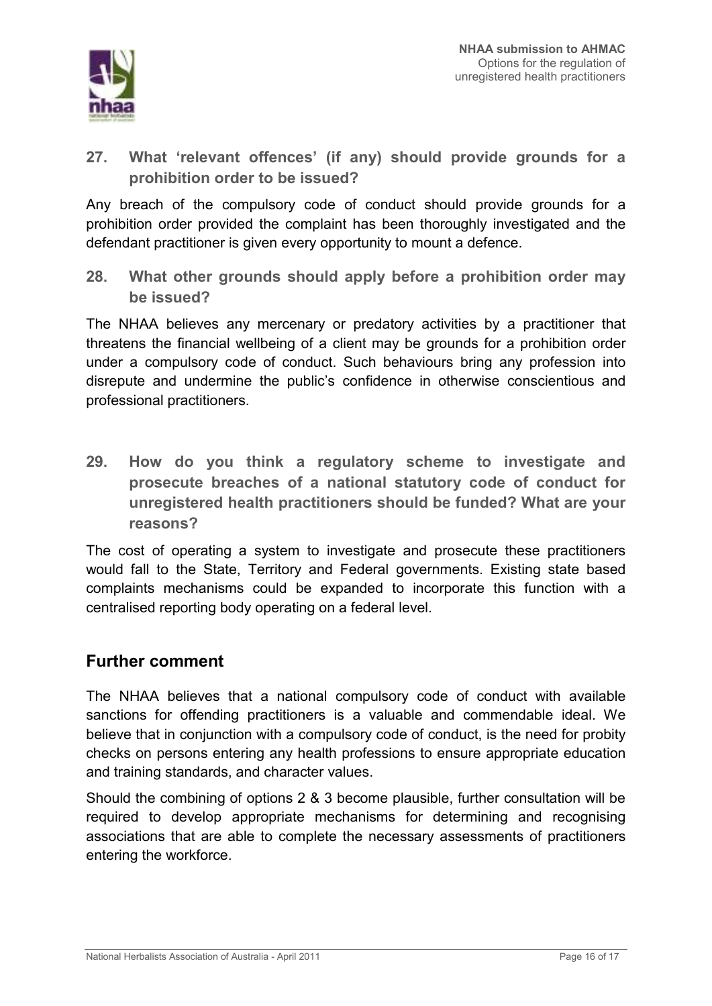

 $27<sub>1</sub>$ What 'relevant offences' (if any) should provide grounds for a prohibition order to be issued?

Any breach of the compulsory code of conduct should provide grounds for a prohibition order provided the complaint has been thoroughly investigated and the defendant practitioner is given every opportunity to mount a defence.

28. What other grounds should apply before a prohibition order may be issued?

The NHAA believes any mercenary or predatory activities by a practitioner that threatens the financial wellbeing of a client may be grounds for a prohibition order under a compulsory code of conduct. Such behaviours bring any profession into disrepute and undermine the public's confidence in otherwise conscientious and professional practitioners.

29. How do you think a regulatory scheme to investigate and prosecute breaches of a national statutory code of conduct for unregistered health practitioners should be funded? What are your reasons?

The cost of operating a system to investigate and prosecute these practitioners would fall to the State. Territory and Federal governments. Existing state based complaints mechanisms could be expanded to incorporate this function with a centralised reporting body operating on a federal level.

## **Further comment**

The NHAA believes that a national compulsory code of conduct with available sanctions for offending practitioners is a valuable and commendable ideal. We believe that in conjunction with a compulsory code of conduct, is the need for probity checks on persons entering any health professions to ensure appropriate education and training standards, and character values.

Should the combining of options 2 & 3 become plausible, further consultation will be required to develop appropriate mechanisms for determining and recognising associations that are able to complete the necessary assessments of practitioners entering the workforce.